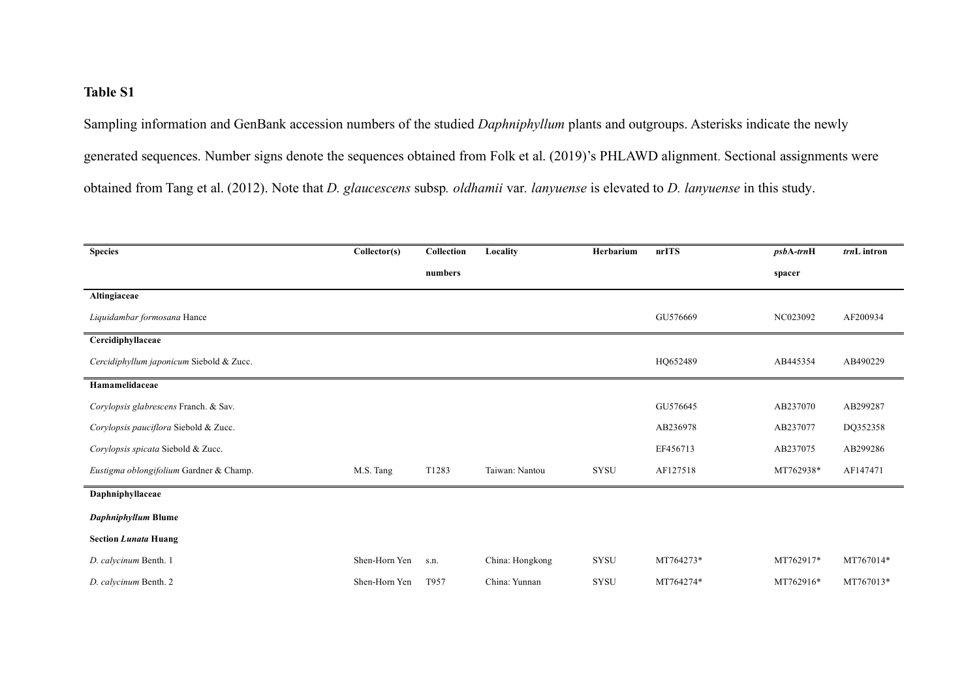## **Table S1**

Sampling information and GenBank accession numbers of the studied *Daphniphyllum* plants and outgroups. Asterisks indicate the newly generated sequences. Number signs denote the sequences obtained from Folk et al. (2019)'s PHLAWD alignment. Sectional assignments were obtained from Tang et al. (2012). Note that *D. glaucescens* subsp*. oldhamii* var*. lanyuense* is elevated to *D. lanyuense* in this study.

| <b>Species</b>                           | Collector(s)  | Collection | Locality        | Herbarium   | nrITS     | $psbA-trnH$ | trnL intron |
|------------------------------------------|---------------|------------|-----------------|-------------|-----------|-------------|-------------|
|                                          |               | numbers    |                 |             |           | spacer      |             |
| Altingiaceae                             |               |            |                 |             |           |             |             |
| Liquidambar formosana Hance              |               |            |                 |             | GU576669  | NC023092    | AF200934    |
| Cercidiphyllaceae                        |               |            |                 |             |           |             |             |
| Cercidiphyllum japonicum Siebold & Zucc. |               |            |                 |             | HQ652489  | AB445354    | AB490229    |
| Hamamelidaceae                           |               |            |                 |             |           |             |             |
| Corylopsis glabrescens Franch. & Sav.    |               |            |                 |             | GU576645  | AB237070    | AB299287    |
| Corylopsis pauciflora Siebold & Zucc.    |               |            |                 |             | AB236978  | AB237077    | DQ352358    |
| Corylopsis spicata Siebold & Zucc.       |               |            |                 |             | EF456713  | AB237075    | AB299286    |
| Eustigma oblongifolium Gardner & Champ.  | M.S. Tang     | T1283      | Taiwan: Nantou  | <b>SYSU</b> | AF127518  | MT762938*   | AF147471    |
| Daphniphyllaceae                         |               |            |                 |             |           |             |             |
| Daphniphyllum Blume                      |               |            |                 |             |           |             |             |
| <b>Section Lunata Huang</b>              |               |            |                 |             |           |             |             |
| D. calycinum Benth. 1                    | Shen-Horn Yen | S.n.       | China: Hongkong | SYSU        | MT764273* | MT762917*   | MT767014*   |
| D. calycinum Benth. 2                    | Shen-Horn Yen | T957       | China: Yunnan   | <b>SYSU</b> | MT764274* | MT762916*   | MT767013*   |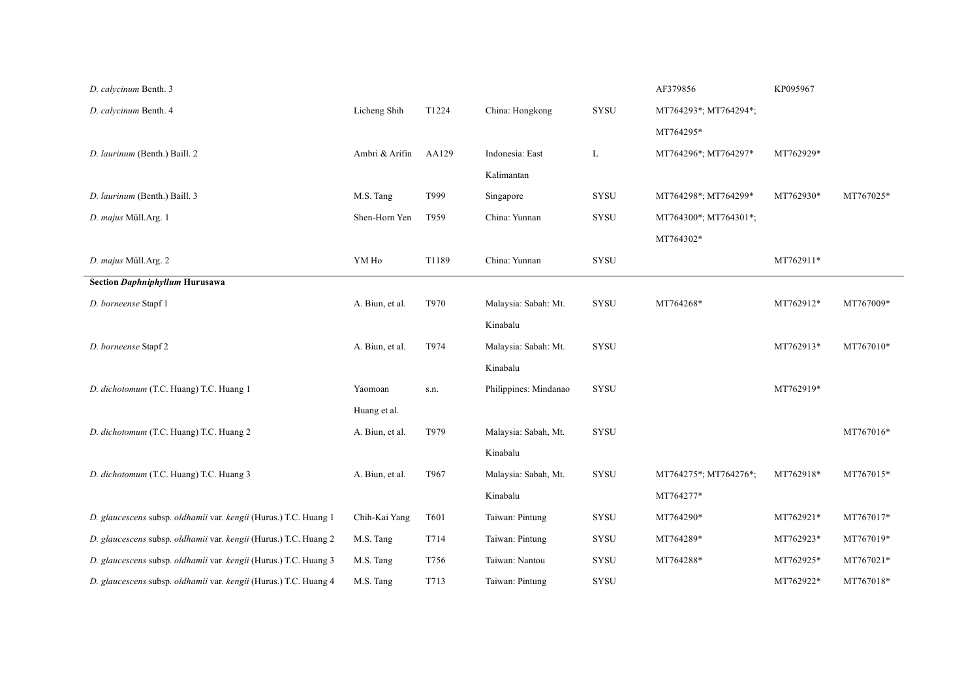| D. calycinum Benth. 3                                            |                 |       |                       |              | AF379856              | KP095967  |           |
|------------------------------------------------------------------|-----------------|-------|-----------------------|--------------|-----------------------|-----------|-----------|
| D. calycinum Benth. 4                                            | Licheng Shih    | T1224 | China: Hongkong       | SYSU         | MT764293*; MT764294*; |           |           |
|                                                                  |                 |       |                       |              | MT764295*             |           |           |
| D. laurinum (Benth.) Baill. 2                                    | Ambri & Arifin  | AA129 | Indonesia: East       | L            | MT764296*; MT764297*  | MT762929* |           |
|                                                                  |                 |       | Kalimantan            |              |                       |           |           |
| D. laurinum (Benth.) Baill. 3                                    | M.S. Tang       | T999  | Singapore             | <b>SYSU</b>  | MT764298*; MT764299*  | MT762930* | MT767025* |
| D. majus Müll.Arg. 1                                             | Shen-Horn Yen   | T959  | China: Yunnan         | SYSU         | MT764300*; MT764301*; |           |           |
|                                                                  |                 |       |                       |              | MT764302*             |           |           |
| D. majus Müll.Arg. 2                                             | YM Ho           | T1189 | China: Yunnan         | SYSU         |                       | MT762911* |           |
| <b>Section Daphniphyllum Hurusawa</b>                            |                 |       |                       |              |                       |           |           |
| D. borneense Stapf 1                                             | A. Biun, et al. | T970  | Malaysia: Sabah: Mt.  | SYSU         | MT764268*             | MT762912* | MT767009* |
|                                                                  |                 |       | Kinabalu              |              |                       |           |           |
| D. borneense Stapf 2                                             | A. Biun, et al. | T974  | Malaysia: Sabah: Mt.  | <b>SYSU</b>  |                       | MT762913* | MT767010* |
|                                                                  |                 |       | Kinabalu              |              |                       |           |           |
| D. dichotomum (T.C. Huang) T.C. Huang 1                          | Yaomoan         | s.n.  | Philippines: Mindanao | <b>SYSU</b>  |                       | MT762919* |           |
|                                                                  | Huang et al.    |       |                       |              |                       |           |           |
| D. dichotomum (T.C. Huang) T.C. Huang 2                          | A. Biun, et al. | T979  | Malaysia: Sabah, Mt.  | <b>SYSU</b>  |                       |           | MT767016* |
|                                                                  |                 |       | Kinabalu              |              |                       |           |           |
| D. dichotomum (T.C. Huang) T.C. Huang 3                          | A. Biun, et al. | T967  | Malaysia: Sabah, Mt.  | <b>SYSU</b>  | MT764275*; MT764276*; | MT762918* | MT767015* |
|                                                                  |                 |       | Kinabalu              |              | MT764277*             |           |           |
| D. glaucescens subsp. oldhamii var. kengii (Hurus.) T.C. Huang 1 | Chih-Kai Yang   | T601  | Taiwan: Pintung       | ${\rm SYSU}$ | MT764290*             | MT762921* | MT767017* |
| D. glaucescens subsp. oldhamii var. kengii (Hurus.) T.C. Huang 2 | M.S. Tang       | T714  | Taiwan: Pintung       | SYSU         | MT764289*             | MT762923* | MT767019* |
| D. glaucescens subsp. oldhamii var. kengii (Hurus.) T.C. Huang 3 | M.S. Tang       | T756  | Taiwan: Nantou        | <b>SYSU</b>  | MT764288*             | MT762925* | MT767021* |
| D. glaucescens subsp. oldhamii var. kengii (Hurus.) T.C. Huang 4 | M.S. Tang       | T713  | Taiwan: Pintung       | <b>SYSU</b>  |                       | MT762922* | MT767018* |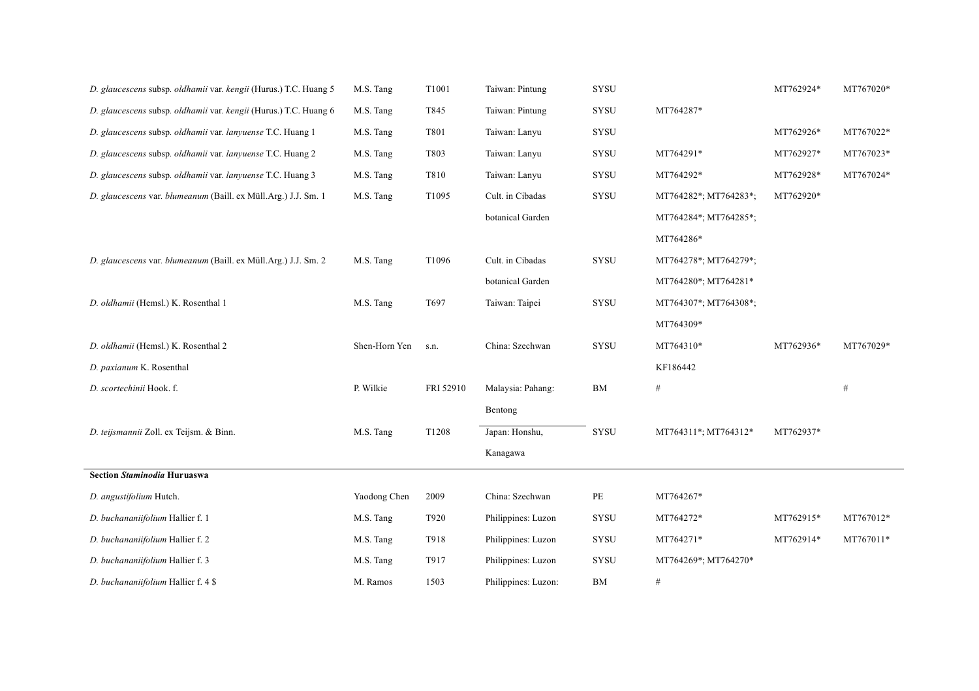| D. glaucescens subsp. oldhamii var. kengii (Hurus.) T.C. Huang 5 | M.S. Tang     | T1001     | Taiwan: Pintung     | SYSU            |                       | MT762924* | MT767020* |
|------------------------------------------------------------------|---------------|-----------|---------------------|-----------------|-----------------------|-----------|-----------|
| D. glaucescens subsp. oldhamii var. kengii (Hurus.) T.C. Huang 6 | M.S. Tang     | T845      | Taiwan: Pintung     | SYSU            | MT764287*             |           |           |
| D. glaucescens subsp. oldhamii var. lanyuense T.C. Huang 1       | M.S. Tang     | T801      | Taiwan: Lanyu       | <b>SYSU</b>     |                       | MT762926* | MT767022* |
| D. glaucescens subsp. oldhamii var. lanyuense T.C. Huang 2       | M.S. Tang     | T803      | Taiwan: Lanyu       | SYSU            | MT764291*             | MT762927* | MT767023* |
| D. glaucescens subsp. oldhamii var. lanyuense T.C. Huang 3       | M.S. Tang     | T810      | Taiwan: Lanyu       | <b>SYSU</b>     | MT764292*             | MT762928* | MT767024* |
| D. glaucescens var. blumeanum (Baill. ex Müll.Arg.) J.J. Sm. 1   | M.S. Tang     | T1095     | Cult. in Cibadas    | SYSU            | MT764282*; MT764283*; | MT762920* |           |
|                                                                  |               |           | botanical Garden    |                 | MT764284*; MT764285*; |           |           |
|                                                                  |               |           |                     |                 | MT764286*             |           |           |
| D. glaucescens var. blumeanum (Baill. ex Müll.Arg.) J.J. Sm. 2   | M.S. Tang     | T1096     | Cult. in Cibadas    | ${\hbox{SYSU}}$ | MT764278*; MT764279*; |           |           |
|                                                                  |               |           | botanical Garden    |                 | MT764280*; MT764281*  |           |           |
| D. oldhamii (Hemsl.) K. Rosenthal 1                              | M.S. Tang     | T697      | Taiwan: Taipei      | SYSU            | MT764307*; MT764308*; |           |           |
|                                                                  |               |           |                     |                 | MT764309*             |           |           |
| D. oldhamii (Hemsl.) K. Rosenthal 2                              | Shen-Horn Yen | S.n.      | China: Szechwan     | ${\rm SYSU}$    | MT764310*             | MT762936* | MT767029* |
| D. paxianum K. Rosenthal                                         |               |           |                     |                 | KF186442              |           |           |
| D. scortechinii Hook. f.                                         | P. Wilkie     | FRI 52910 | Malaysia: Pahang:   | ${\rm BM}$      | $\#$                  |           | $\#$      |
|                                                                  |               |           | Bentong             |                 |                       |           |           |
| D. teijsmannii Zoll. ex Teijsm. & Binn.                          | M.S. Tang     | T1208     | Japan: Honshu,      | SYSU            | MT764311*; MT764312*  | MT762937* |           |
|                                                                  |               |           | Kanagawa            |                 |                       |           |           |
| <b>Section Staminodia Huruaswa</b>                               |               |           |                     |                 |                       |           |           |
| D. angustifolium Hutch.                                          | Yaodong Chen  | 2009      | China: Szechwan     | PE              | MT764267*             |           |           |
| D. buchananiifolium Hallier f. 1                                 | M.S. Tang     | T920      | Philippines: Luzon  | <b>SYSU</b>     | MT764272*             | MT762915* | MT767012* |
| D. buchananiifolium Hallier f. 2                                 | M.S. Tang     | T918      | Philippines: Luzon  | SYSU            | MT764271*             | MT762914* | MT767011* |
| D. buchananiifolium Hallier f. 3                                 | M.S. Tang     | T917      | Philippines: Luzon  | <b>SYSU</b>     | MT764269*; MT764270*  |           |           |
| D. buchananiifolium Hallier f. 4 \$                              | M. Ramos      | 1503      | Philippines: Luzon: | ${\rm BM}$      | $\#$                  |           |           |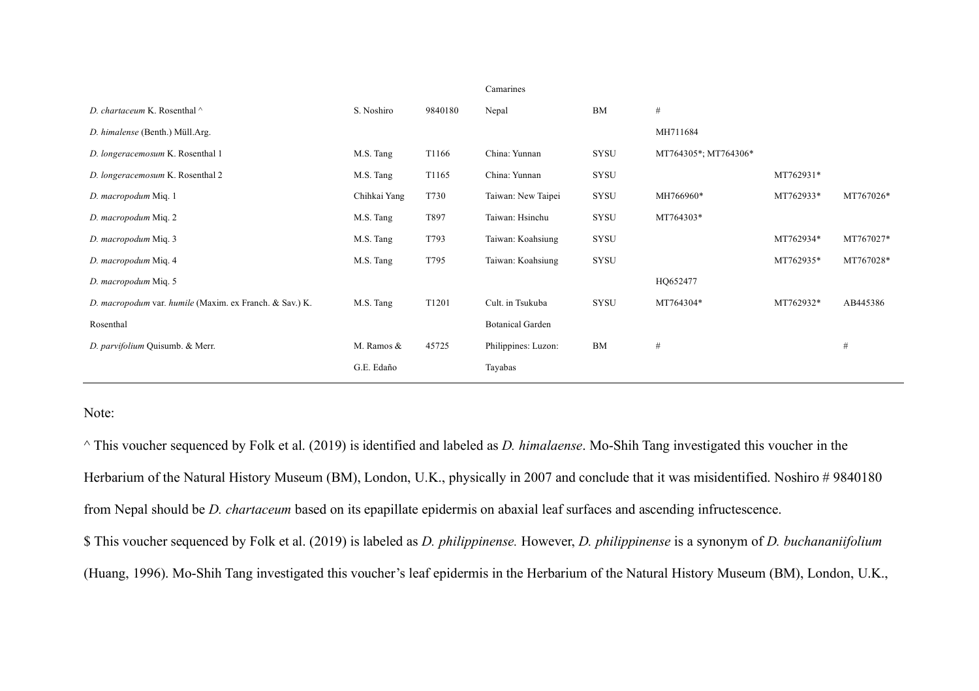|                                                         |              |                   | Camarines               |             |                      |           |           |
|---------------------------------------------------------|--------------|-------------------|-------------------------|-------------|----------------------|-----------|-----------|
| D. chartaceum K. Rosenthal ^                            | S. Noshiro   | 9840180           | Nepal                   | <b>BM</b>   | #                    |           |           |
| D. himalense (Benth.) Müll.Arg.                         |              |                   |                         |             | MH711684             |           |           |
| D. longeracemosum K. Rosenthal 1                        | M.S. Tang    | T1166             | China: Yunnan           | <b>SYSU</b> | MT764305*; MT764306* |           |           |
| D. longeracemosum K. Rosenthal 2                        | M.S. Tang    | T <sub>1165</sub> | China: Yunnan           | <b>SYSU</b> |                      | MT762931* |           |
| D. macropodum Miq. 1                                    | Chihkai Yang | T730              | Taiwan: New Taipei      | <b>SYSU</b> | MH766960*            | MT762933* | MT767026* |
| D. macropodum Miq. 2                                    | M.S. Tang    | T897              | Taiwan: Hsinchu         | <b>SYSU</b> | MT764303*            |           |           |
| D. macropodum Miq. 3                                    | M.S. Tang    | T793              | Taiwan: Koahsiung       | <b>SYSU</b> |                      | MT762934* | MT767027* |
| D. macropodum Miq. 4                                    | M.S. Tang    | T795              | Taiwan: Koahsiung       | <b>SYSU</b> |                      | MT762935* | MT767028* |
| D. macropodum Miq. 5                                    |              |                   |                         |             | HQ652477             |           |           |
| D. macropodum var. humile (Maxim. ex Franch. & Sav.) K. | M.S. Tang    | T1201             | Cult. in Tsukuba        | <b>SYSU</b> | MT764304*            | MT762932* | AB445386  |
| Rosenthal                                               |              |                   | <b>Botanical Garden</b> |             |                      |           |           |
| D. parvifolium Quisumb. & Merr.                         | M. Ramos &   | 45725             | Philippines: Luzon:     | <b>BM</b>   | #                    |           | #         |
|                                                         | G.E. Edaño   |                   | Tayabas                 |             |                      |           |           |

## Note:

^ This voucher sequenced by Folk et al. (2019) is identified and labeled as *D. himalaense*. Mo-Shih Tang investigated this voucher in the Herbarium of the Natural History Museum (BM), London, U.K., physically in 2007 and conclude that it was misidentified. Noshiro # 9840180 from Nepal should be *D. chartaceum* based on its epapillate epidermis on abaxial leaf surfaces and ascending infructescence. \$ This voucher sequenced by Folk et al. (2019) is labeled as *D. philippinense.* However, *D. philippinense* is a synonym of *D. buchananiifolium* (Huang, 1996). Mo-Shih Tang investigated this voucher's leaf epidermis in the Herbarium of the Natural History Museum (BM), London, U.K.,